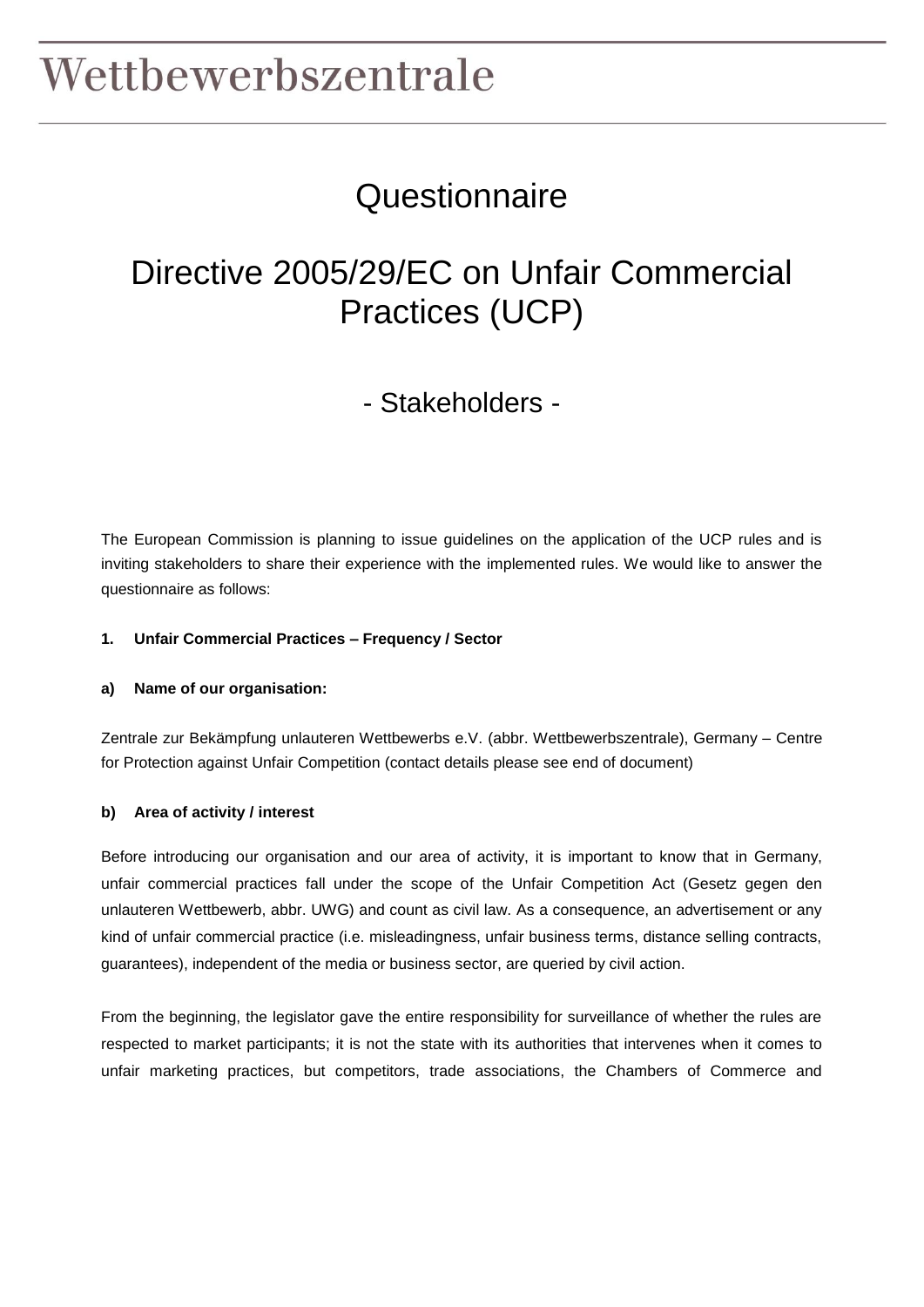### **Questionnaire**

### Directive 2005/29/EC on Unfair Commercial Practices (UCP)

### - Stakeholders -

The European Commission is planning to issue guidelines on the application of the UCP rules and is inviting stakeholders to share their experience with the implemented rules. We would like to answer the questionnaire as follows:

#### **1. Unfair Commercial Practices – Frequency / Sector**

#### **a) Name of our organisation:**

Zentrale zur Bekämpfung unlauteren Wettbewerbs e.V. (abbr. Wettbewerbszentrale), Germany – Centre for Protection against Unfair Competition (contact details please see end of document)

#### **b) Area of activity / interest**

Before introducing our organisation and our area of activity, it is important to know that in Germany, unfair commercial practices fall under the scope of the Unfair Competition Act (Gesetz gegen den unlauteren Wettbewerb, abbr. UWG) and count as civil law. As a consequence, an advertisement or any kind of unfair commercial practice (i.e. misleadingness, unfair business terms, distance selling contracts, guarantees), independent of the media or business sector, are queried by civil action.

From the beginning, the legislator gave the entire responsibility for surveillance of whether the rules are respected to market participants; it is not the state with its authorities that intervenes when it comes to unfair marketing practices, but competitors, trade associations, the Chambers of Commerce and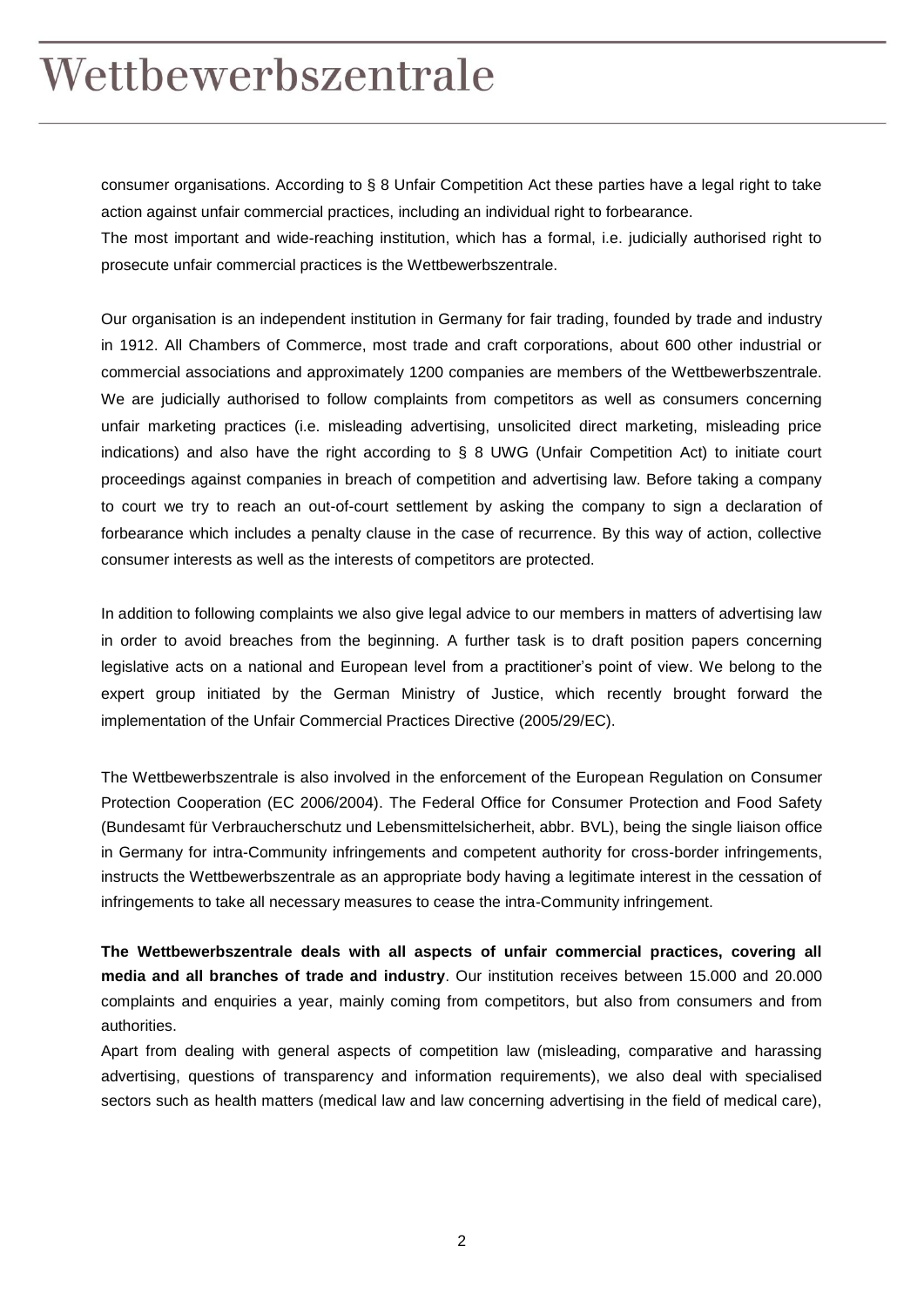consumer organisations. According to § 8 Unfair Competition Act these parties have a legal right to take action against unfair commercial practices, including an individual right to forbearance.

The most important and wide-reaching institution, which has a formal, i.e. judicially authorised right to prosecute unfair commercial practices is the Wettbewerbszentrale.

Our organisation is an independent institution in Germany for fair trading, founded by trade and industry in 1912. All Chambers of Commerce, most trade and craft corporations, about 600 other industrial or commercial associations and approximately 1200 companies are members of the Wettbewerbszentrale. We are judicially authorised to follow complaints from competitors as well as consumers concerning unfair marketing practices (i.e. misleading advertising, unsolicited direct marketing, misleading price indications) and also have the right according to § 8 UWG (Unfair Competition Act) to initiate court proceedings against companies in breach of competition and advertising law. Before taking a company to court we try to reach an out-of-court settlement by asking the company to sign a declaration of forbearance which includes a penalty clause in the case of recurrence. By this way of action, collective consumer interests as well as the interests of competitors are protected.

In addition to following complaints we also give legal advice to our members in matters of advertising law in order to avoid breaches from the beginning. A further task is to draft position papers concerning legislative acts on a national and European level from a practitioner's point of view. We belong to the expert group initiated by the German Ministry of Justice, which recently brought forward the implementation of the Unfair Commercial Practices Directive (2005/29/EC).

The Wettbewerbszentrale is also involved in the enforcement of the European Regulation on Consumer Protection Cooperation (EC 2006/2004). The Federal Office for Consumer Protection and Food Safety (Bundesamt für Verbraucherschutz und Lebensmittelsicherheit, abbr. BVL), being the single liaison office in Germany for intra-Community infringements and competent authority for cross-border infringements, instructs the Wettbewerbszentrale as an appropriate body having a legitimate interest in the cessation of infringements to take all necessary measures to cease the intra-Community infringement.

**The Wettbewerbszentrale deals with all aspects of unfair commercial practices, covering all media and all branches of trade and industry**. Our institution receives between 15.000 and 20.000 complaints and enquiries a year, mainly coming from competitors, but also from consumers and from authorities.

Apart from dealing with general aspects of competition law (misleading, comparative and harassing advertising, questions of transparency and information requirements), we also deal with specialised sectors such as health matters (medical law and law concerning advertising in the field of medical care),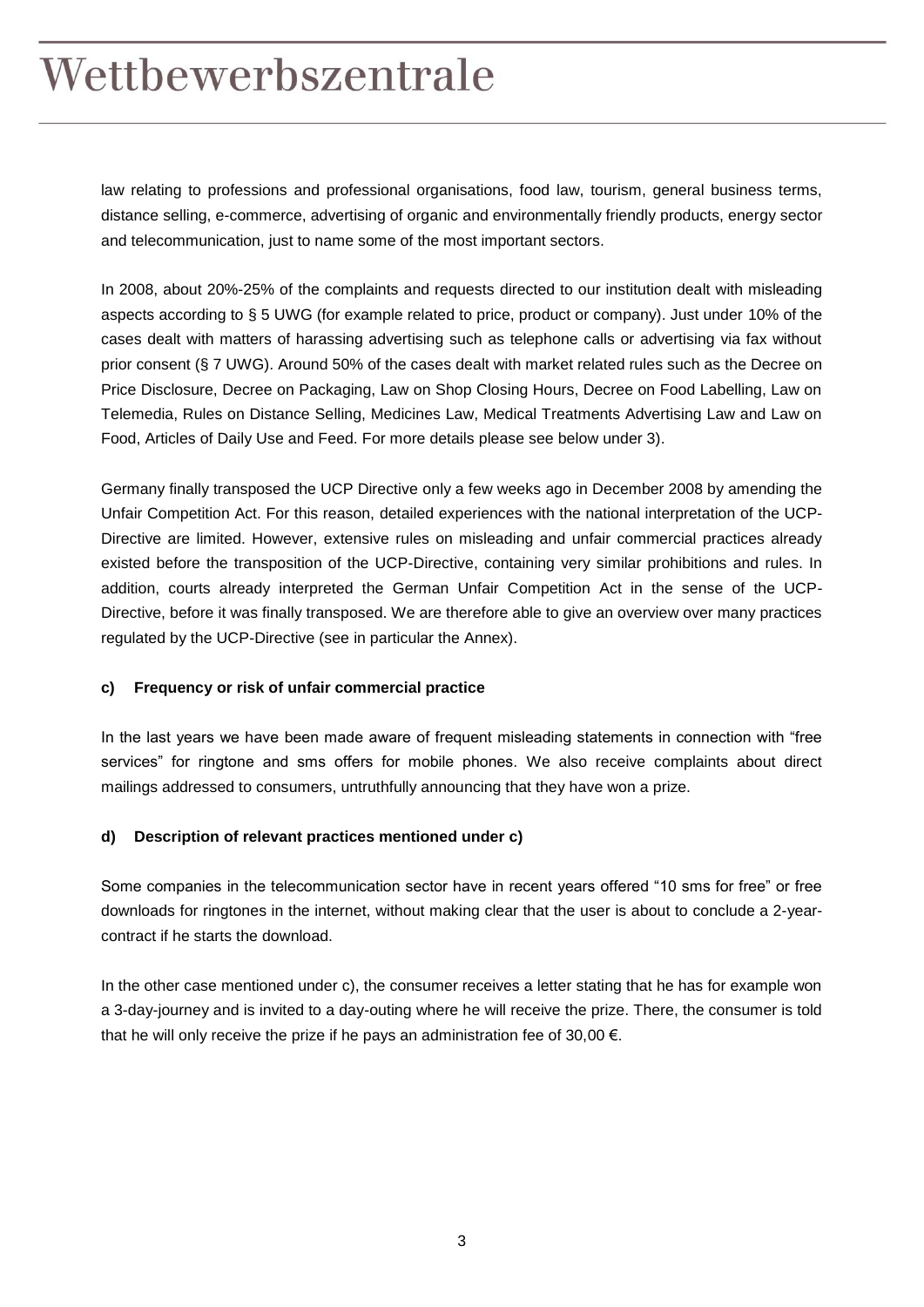law relating to professions and professional organisations, food law, tourism, general business terms, distance selling, e-commerce, advertising of organic and environmentally friendly products, energy sector and telecommunication, just to name some of the most important sectors.

In 2008, about 20%-25% of the complaints and requests directed to our institution dealt with misleading aspects according to § 5 UWG (for example related to price, product or company). Just under 10% of the cases dealt with matters of harassing advertising such as telephone calls or advertising via fax without prior consent (§ 7 UWG). Around 50% of the cases dealt with market related rules such as the Decree on Price Disclosure, Decree on Packaging, Law on Shop Closing Hours, Decree on Food Labelling, Law on Telemedia, Rules on Distance Selling, Medicines Law, Medical Treatments Advertising Law and Law on Food, Articles of Daily Use and Feed. For more details please see below under 3).

Germany finally transposed the UCP Directive only a few weeks ago in December 2008 by amending the Unfair Competition Act. For this reason, detailed experiences with the national interpretation of the UCP-Directive are limited. However, extensive rules on misleading and unfair commercial practices already existed before the transposition of the UCP-Directive, containing very similar prohibitions and rules. In addition, courts already interpreted the German Unfair Competition Act in the sense of the UCP-Directive, before it was finally transposed. We are therefore able to give an overview over many practices regulated by the UCP-Directive (see in particular the Annex).

#### **c) Frequency or risk of unfair commercial practice**

In the last years we have been made aware of frequent misleading statements in connection with "free services" for ringtone and sms offers for mobile phones. We also receive complaints about direct mailings addressed to consumers, untruthfully announcing that they have won a prize.

#### **d) Description of relevant practices mentioned under c)**

Some companies in the telecommunication sector have in recent years offered "10 sms for free" or free downloads for ringtones in the internet, without making clear that the user is about to conclude a 2-yearcontract if he starts the download.

In the other case mentioned under c), the consumer receives a letter stating that he has for example won a 3-day-journey and is invited to a day-outing where he will receive the prize. There, the consumer is told that he will only receive the prize if he pays an administration fee of 30,00  $\epsilon$ .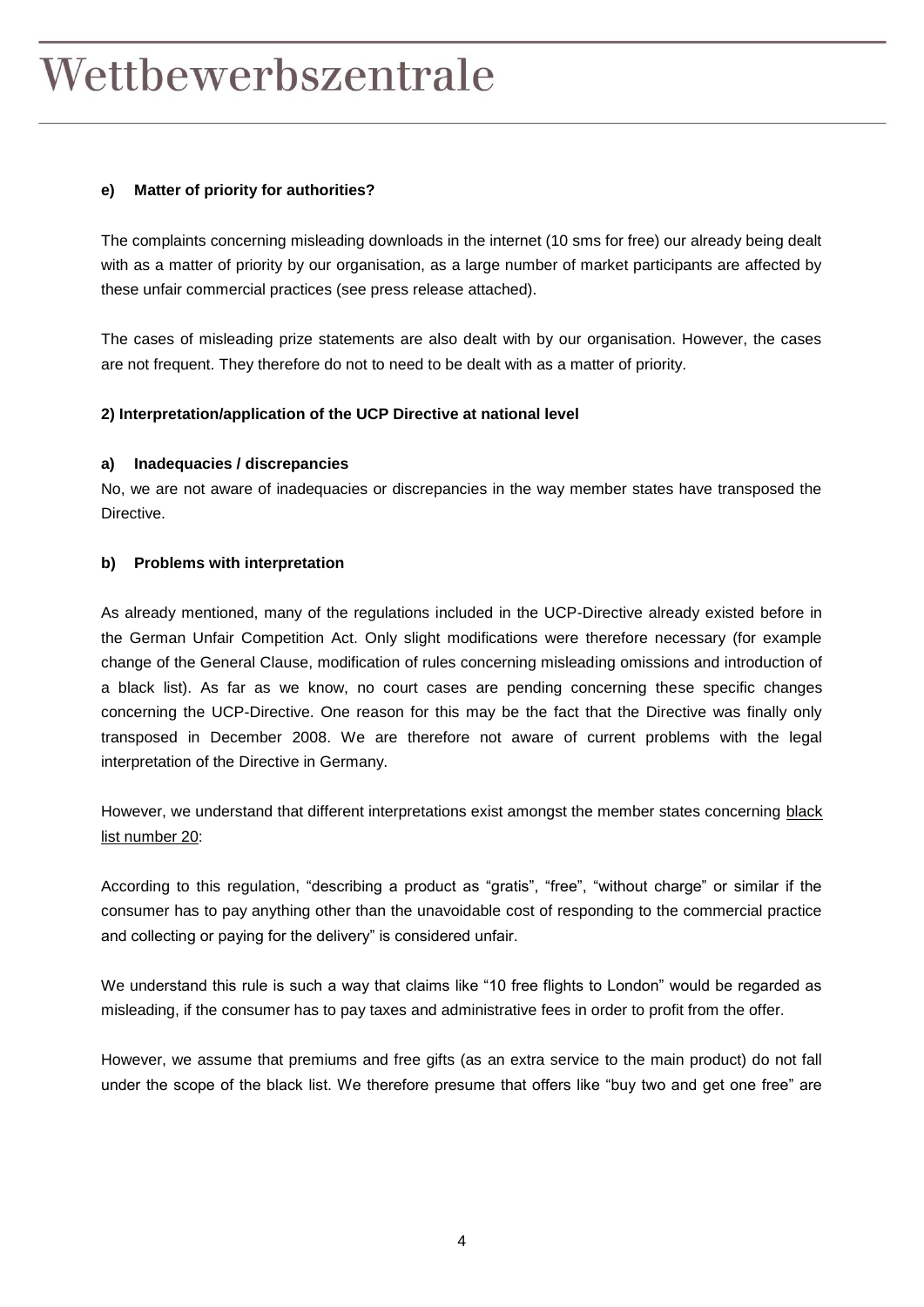#### **e) Matter of priority for authorities?**

The complaints concerning misleading downloads in the internet (10 sms for free) our already being dealt with as a matter of priority by our organisation, as a large number of market participants are affected by these unfair commercial practices (see press release attached).

The cases of misleading prize statements are also dealt with by our organisation. However, the cases are not frequent. They therefore do not to need to be dealt with as a matter of priority.

#### **2) Interpretation/application of the UCP Directive at national level**

#### **a) Inadequacies / discrepancies**

No, we are not aware of inadequacies or discrepancies in the way member states have transposed the Directive.

#### **b) Problems with interpretation**

As already mentioned, many of the regulations included in the UCP-Directive already existed before in the German Unfair Competition Act. Only slight modifications were therefore necessary (for example change of the General Clause, modification of rules concerning misleading omissions and introduction of a black list). As far as we know, no court cases are pending concerning these specific changes concerning the UCP-Directive. One reason for this may be the fact that the Directive was finally only transposed in December 2008. We are therefore not aware of current problems with the legal interpretation of the Directive in Germany.

However, we understand that different interpretations exist amongst the member states concerning black list number 20:

According to this regulation, "describing a product as "gratis", "free", "without charge" or similar if the consumer has to pay anything other than the unavoidable cost of responding to the commercial practice and collecting or paying for the delivery" is considered unfair.

We understand this rule is such a way that claims like "10 free flights to London" would be regarded as misleading, if the consumer has to pay taxes and administrative fees in order to profit from the offer.

However, we assume that premiums and free gifts (as an extra service to the main product) do not fall under the scope of the black list. We therefore presume that offers like "buy two and get one free" are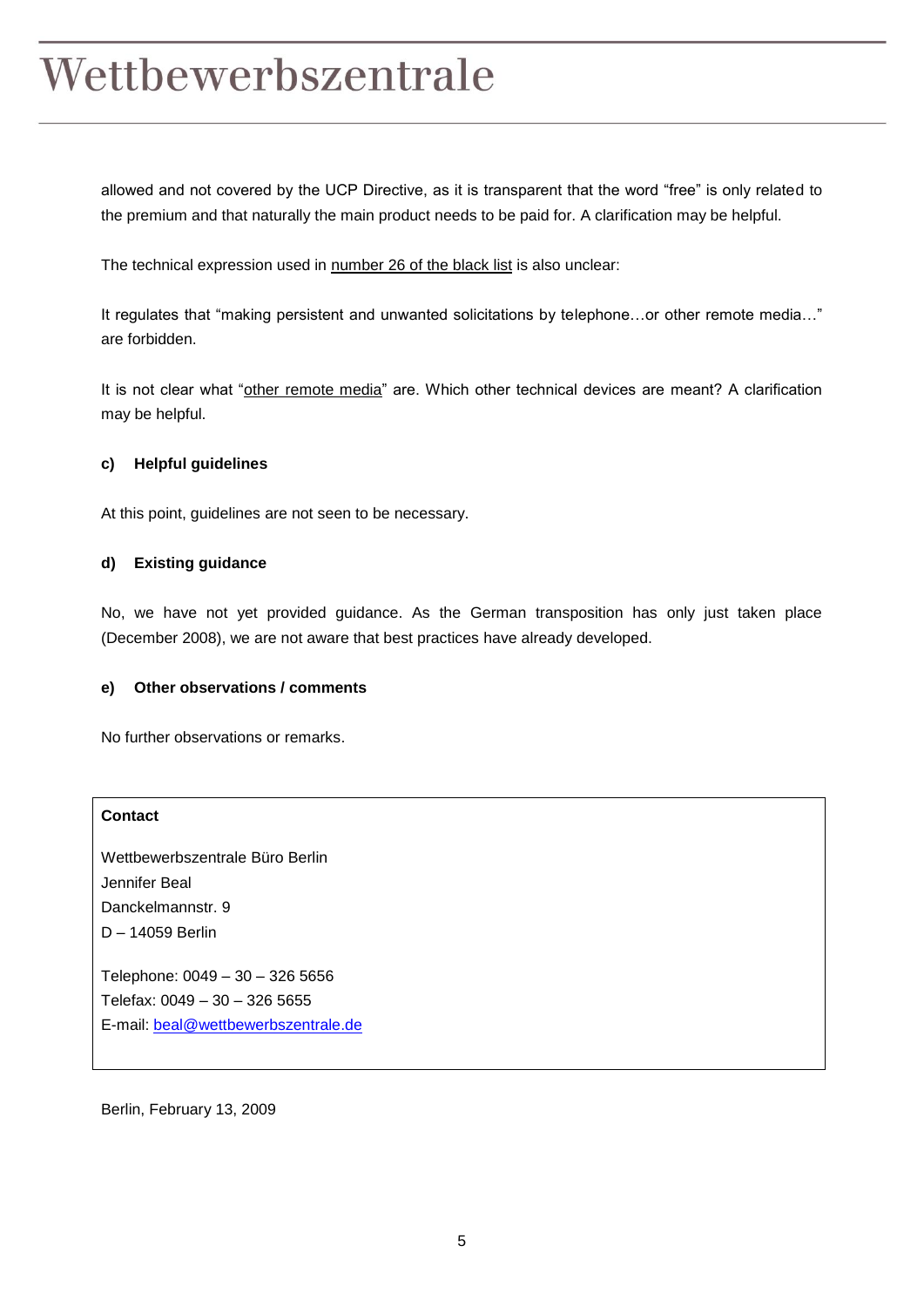allowed and not covered by the UCP Directive, as it is transparent that the word "free" is only related to the premium and that naturally the main product needs to be paid for. A clarification may be helpful.

The technical expression used in number 26 of the black list is also unclear:

It regulates that "making persistent and unwanted solicitations by telephone…or other remote media…" are forbidden.

It is not clear what "other remote media" are. Which other technical devices are meant? A clarification may be helpful.

#### **c) Helpful guidelines**

At this point, guidelines are not seen to be necessary.

#### **d) Existing guidance**

No, we have not yet provided guidance. As the German transposition has only just taken place (December 2008), we are not aware that best practices have already developed.

#### **e) Other observations / comments**

No further observations or remarks.

#### **Contact**

Wettbewerbszentrale Büro Berlin Jennifer Beal Danckelmannstr. 9 D – 14059 Berlin

Telephone: 0049 – 30 – 326 5656 Telefax: 0049 – 30 – 326 5655 E-mail: [beal@wettbewerbszentrale.de](mailto:beal@wettbewerbszentrale.de)

Berlin, February 13, 2009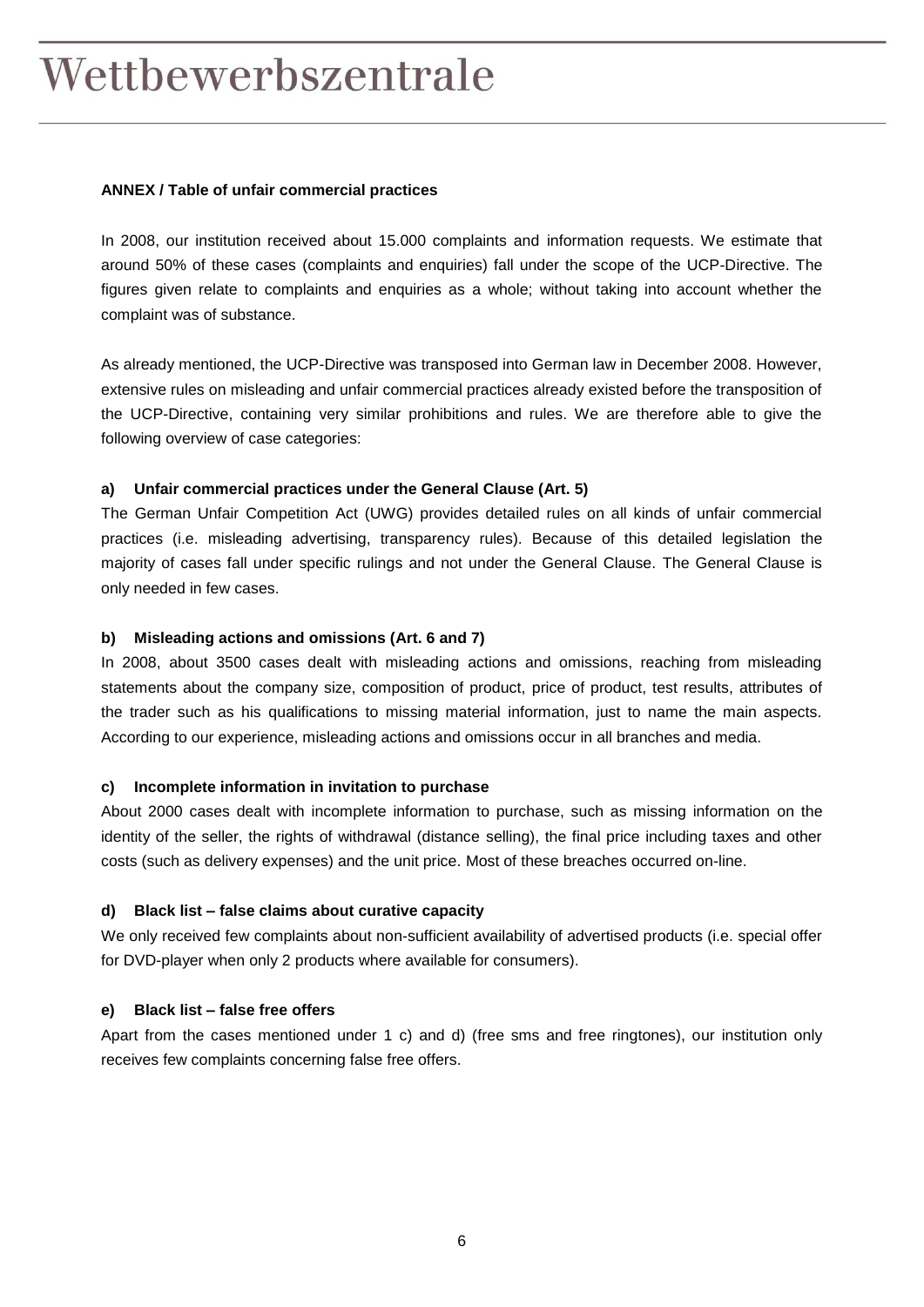#### **ANNEX / Table of unfair commercial practices**

In 2008, our institution received about 15.000 complaints and information requests. We estimate that around 50% of these cases (complaints and enquiries) fall under the scope of the UCP-Directive. The figures given relate to complaints and enquiries as a whole; without taking into account whether the complaint was of substance.

As already mentioned, the UCP-Directive was transposed into German law in December 2008. However, extensive rules on misleading and unfair commercial practices already existed before the transposition of the UCP-Directive, containing very similar prohibitions and rules. We are therefore able to give the following overview of case categories:

#### **a) Unfair commercial practices under the General Clause (Art. 5)**

The German Unfair Competition Act (UWG) provides detailed rules on all kinds of unfair commercial practices (i.e. misleading advertising, transparency rules). Because of this detailed legislation the majority of cases fall under specific rulings and not under the General Clause. The General Clause is only needed in few cases.

#### **b) Misleading actions and omissions (Art. 6 and 7)**

In 2008, about 3500 cases dealt with misleading actions and omissions, reaching from misleading statements about the company size, composition of product, price of product, test results, attributes of the trader such as his qualifications to missing material information, just to name the main aspects. According to our experience, misleading actions and omissions occur in all branches and media.

#### **c) Incomplete information in invitation to purchase**

About 2000 cases dealt with incomplete information to purchase, such as missing information on the identity of the seller, the rights of withdrawal (distance selling), the final price including taxes and other costs (such as delivery expenses) and the unit price. Most of these breaches occurred on-line.

#### **d) Black list – false claims about curative capacity**

We only received few complaints about non-sufficient availability of advertised products (i.e. special offer for DVD-player when only 2 products where available for consumers).

#### **e) Black list – false free offers**

Apart from the cases mentioned under 1 c) and d) (free sms and free ringtones), our institution only receives few complaints concerning false free offers.